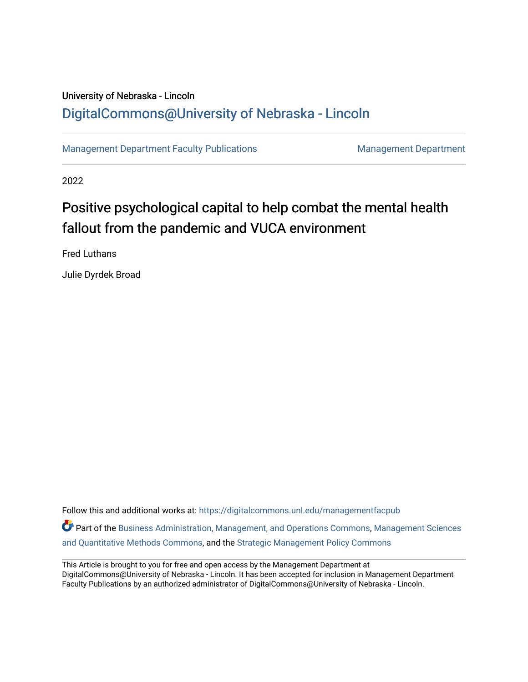### University of Nebraska - Lincoln [DigitalCommons@University of Nebraska - Lincoln](https://digitalcommons.unl.edu/)

[Management Department Faculty Publications](https://digitalcommons.unl.edu/managementfacpub) Management Department

2022

# Positive psychological capital to help combat the mental health fallout from the pandemic and VUCA environment

Fred Luthans

Julie Dyrdek Broad

Follow this and additional works at: [https://digitalcommons.unl.edu/managementfacpub](https://digitalcommons.unl.edu/managementfacpub?utm_source=digitalcommons.unl.edu%2Fmanagementfacpub%2F242&utm_medium=PDF&utm_campaign=PDFCoverPages)

Part of the [Business Administration, Management, and Operations Commons](https://network.bepress.com/hgg/discipline/623?utm_source=digitalcommons.unl.edu%2Fmanagementfacpub%2F242&utm_medium=PDF&utm_campaign=PDFCoverPages), [Management Sciences](https://network.bepress.com/hgg/discipline/637?utm_source=digitalcommons.unl.edu%2Fmanagementfacpub%2F242&utm_medium=PDF&utm_campaign=PDFCoverPages) [and Quantitative Methods Commons,](https://network.bepress.com/hgg/discipline/637?utm_source=digitalcommons.unl.edu%2Fmanagementfacpub%2F242&utm_medium=PDF&utm_campaign=PDFCoverPages) and the [Strategic Management Policy Commons](https://network.bepress.com/hgg/discipline/642?utm_source=digitalcommons.unl.edu%2Fmanagementfacpub%2F242&utm_medium=PDF&utm_campaign=PDFCoverPages) 

This Article is brought to you for free and open access by the Management Department at DigitalCommons@University of Nebraska - Lincoln. It has been accepted for inclusion in Management Department Faculty Publications by an authorized administrator of DigitalCommons@University of Nebraska - Lincoln.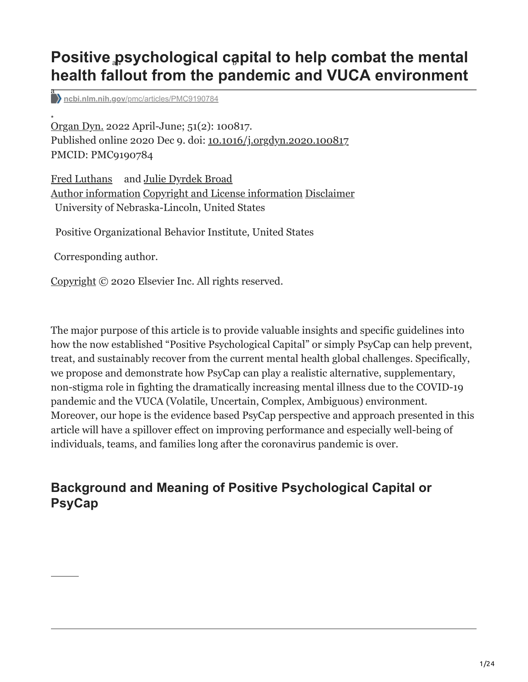# Positive psychological capital to help combat the mental **health fallout from the pandemic and VUCA environment**

**ncbi.nlm.nih.gov**[/pmc/articles/PMC9190784](https://www.ncbi.nlm.nih.gov/pmc/articles/PMC9190784/?report=classic) a

Organ Dyn. 2022 April-June; 51(2): 100817. Published online 2020 Dec 9. doi: [10.1016/j.orgdyn.2020.100817](https://doi.org/10.1016%2Fj.orgdyn.2020.100817) PMCID: PMC9190784 ⁎

[Fred Luthans](https://pubmed.ncbi.nlm.nih.gov/?term=Luthans%20F%5BAuthor%5D) and [Julie Dyrdek Broad](https://pubmed.ncbi.nlm.nih.gov/?term=Broad%20JD%5BAuthor%5D) Author information Copyright and License information [Disclaimer](https://www.ncbi.nlm.nih.gov/pmc/about/disclaimer/) University of Nebraska-Lincoln, United States

Positive Organizational Behavior Institute, United States

Corresponding author.

[Copyright](https://www.ncbi.nlm.nih.gov/pmc/about/copyright/) © 2020 Elsevier Inc. All rights reserved.

The major purpose of this article is to provide valuable insights and specific guidelines into how the now established "Positive Psychological Capital" or simply PsyCap can help prevent, treat, and sustainably recover from the current mental health global challenges. Specifically, we propose and demonstrate how PsyCap can play a realistic alternative, supplementary, non-stigma role in fighting the dramatically increasing mental illness due to the COVID-19 pandemic and the VUCA (Volatile, Uncertain, Complex, Ambiguous) environment. Moreover, our hope is the evidence based PsyCap perspective and approach presented in this article will have a spillover effect on improving performance and especially well-being of individuals, teams, and families long after the coronavirus pandemic is over.

### **Background and Meaning of Positive Psychological Capital or PsyCap**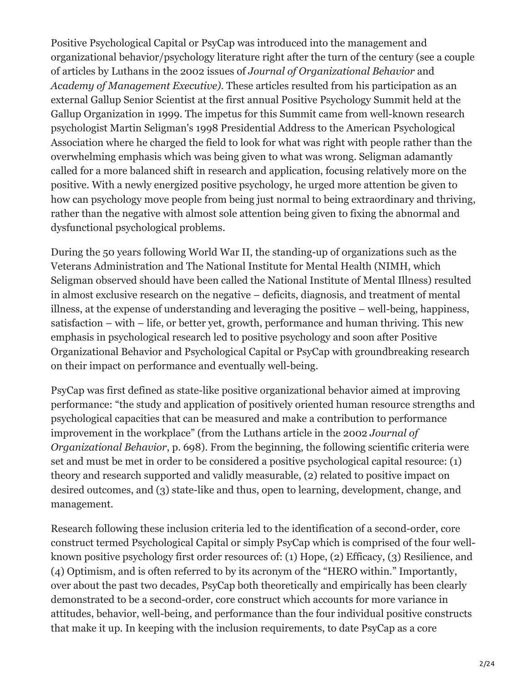Positive Psychological Capital or PsyCap was introduced into the management and organizational behavior/psychology literature right after the turn of the century (see a couple of articles by Luthans in the 2002 issues of *Journal of Organizational Behavior* and *Academy of Management Executive)*. These articles resulted from his participation as an external Gallup Senior Scientist at the first annual Positive Psychology Summit held at the Gallup Organization in 1999. The impetus for this Summit came from well-known research psychologist Martin Seligman's 1998 Presidential Address to the American Psychological Association where he charged the field to look for what was right with people rather than the overwhelming emphasis which was being given to what was wrong. Seligman adamantly called for a more balanced shift in research and application, focusing relatively more on the positive. With a newly energized positive psychology, he urged more attention be given to how can psychology move people from being just normal to being extraordinary and thriving, rather than the negative with almost sole attention being given to fixing the abnormal and dysfunctional psychological problems.

During the 50 years following World War II, the standing-up of organizations such as the Veterans Administration and The National Institute for Mental Health (NIMH, which Seligman observed should have been called the National Institute of Mental Illness) resulted in almost exclusive research on the negative – deficits, diagnosis, and treatment of mental illness, at the expense of understanding and leveraging the positive – well-being, happiness, satisfaction – with – life, or better yet, growth, performance and human thriving. This new emphasis in psychological research led to positive psychology and soon after Positive Organizational Behavior and Psychological Capital or PsyCap with groundbreaking research on their impact on performance and eventually well-being.

PsyCap was first defined as state-like positive organizational behavior aimed at improving performance: "the study and application of positively oriented human resource strengths and psychological capacities that can be measured and make a contribution to performance improvement in the workplace" (from the Luthans article in the 2002 *Journal of Organizational Behavior*, p. 698). From the beginning, the following scientific criteria were set and must be met in order to be considered a positive psychological capital resource: (1) theory and research supported and validly measurable, (2) related to positive impact on desired outcomes, and (3) state-like and thus, open to learning, development, change, and management.

Research following these inclusion criteria led to the identification of a second-order, core construct termed Psychological Capital or simply PsyCap which is comprised of the four wellknown positive psychology first order resources of: (1) Hope, (2) Efficacy, (3) Resilience, and (4) Optimism, and is often referred to by its acronym of the "HERO within." Importantly, over about the past two decades, PsyCap both theoretically and empirically has been clearly demonstrated to be a second-order, core construct which accounts for more variance in attitudes, behavior, well-being, and performance than the four individual positive constructs that make it up. In keeping with the inclusion requirements, to date PsyCap as a core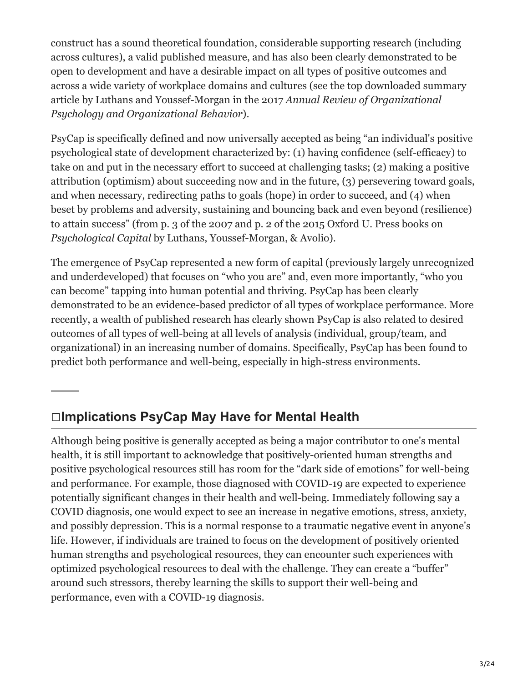construct has a sound theoretical foundation, considerable supporting research (including across cultures), a valid published measure, and has also been clearly demonstrated to be open to development and have a desirable impact on all types of positive outcomes and across a wide variety of workplace domains and cultures (see the top downloaded summary article by Luthans and Youssef-Morgan in the 2017 *Annual Review of Organizational Psychology and Organizational Behavior*).

PsyCap is specifically defined and now universally accepted as being "an individual's positive psychological state of development characterized by: (1) having confidence (self-efficacy) to take on and put in the necessary effort to succeed at challenging tasks; (2) making a positive attribution (optimism) about succeeding now and in the future, (3) persevering toward goals, and when necessary, redirecting paths to goals (hope) in order to succeed, and (4) when beset by problems and adversity, sustaining and bouncing back and even beyond (resilience) to attain success" (from p. 3 of the 2007 and p. 2 of the 2015 Oxford U. Press books on *Psychological Capital* by Luthans, Youssef-Morgan, & Avolio).

The emergence of PsyCap represented a new form of capital (previously largely unrecognized and underdeveloped) that focuses on "who you are" and, even more importantly, "who you can become" tapping into human potential and thriving. PsyCap has been clearly demonstrated to be an evidence-based predictor of all types of workplace performance. More recently, a wealth of published research has clearly shown PsyCap is also related to desired outcomes of all types of well-being at all levels of analysis (individual, group/team, and organizational) in an increasing number of domains. Specifically, PsyCap has been found to predict both performance and well-being, especially in high-stress environments.

## **Implications PsyCap May Have for Mental Health**

Although being positive is generally accepted as being a major contributor to one's mental health, it is still important to acknowledge that positively-oriented human strengths and positive psychological resources still has room for the "dark side of emotions" for well-being and performance. For example, those diagnosed with COVID-19 are expected to experience potentially significant changes in their health and well-being. Immediately following say a COVID diagnosis, one would expect to see an increase in negative emotions, stress, anxiety, and possibly depression. This is a normal response to a traumatic negative event in anyone's life. However, if individuals are trained to focus on the development of positively oriented human strengths and psychological resources, they can encounter such experiences with optimized psychological resources to deal with the challenge. They can create a "buffer" around such stressors, thereby learning the skills to support their well-being and performance, even with a COVID-19 diagnosis.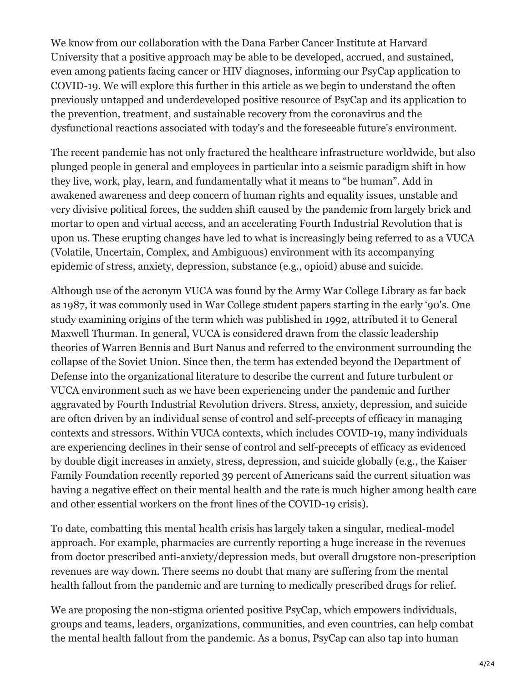We know from our collaboration with the Dana Farber Cancer Institute at Harvard University that a positive approach may be able to be developed, accrued, and sustained, even among patients facing cancer or HIV diagnoses, informing our PsyCap application to COVID-19. We will explore this further in this article as we begin to understand the often previously untapped and underdeveloped positive resource of PsyCap and its application to the prevention, treatment, and sustainable recovery from the coronavirus and the dysfunctional reactions associated with today's and the foreseeable future's environment.

The recent pandemic has not only fractured the healthcare infrastructure worldwide, but also plunged people in general and employees in particular into a seismic paradigm shift in how they live, work, play, learn, and fundamentally what it means to "be human". Add in awakened awareness and deep concern of human rights and equality issues, unstable and very divisive political forces, the sudden shift caused by the pandemic from largely brick and mortar to open and virtual access, and an accelerating Fourth Industrial Revolution that is upon us. These erupting changes have led to what is increasingly being referred to as a VUCA (Volatile, Uncertain, Complex, and Ambiguous) environment with its accompanying epidemic of stress, anxiety, depression, substance (e.g., opioid) abuse and suicide.

Although use of the acronym VUCA was found by the Army War College Library as far back as 1987, it was commonly used in War College student papers starting in the early '90's. One study examining origins of the term which was published in 1992, attributed it to General Maxwell Thurman. In general, VUCA is considered drawn from the classic leadership theories of Warren Bennis and Burt Nanus and referred to the environment surrounding the collapse of the Soviet Union. Since then, the term has extended beyond the Department of Defense into the organizational literature to describe the current and future turbulent or VUCA environment such as we have been experiencing under the pandemic and further aggravated by Fourth Industrial Revolution drivers. Stress, anxiety, depression, and suicide are often driven by an individual sense of control and self-precepts of efficacy in managing contexts and stressors. Within VUCA contexts, which includes COVID-19, many individuals are experiencing declines in their sense of control and self-precepts of efficacy as evidenced by double digit increases in anxiety, stress, depression, and suicide globally (e.g., the Kaiser Family Foundation recently reported 39 percent of Americans said the current situation was having a negative effect on their mental health and the rate is much higher among health care and other essential workers on the front lines of the COVID-19 crisis).

To date, combatting this mental health crisis has largely taken a singular, medical-model approach. For example, pharmacies are currently reporting a huge increase in the revenues from doctor prescribed anti-anxiety/depression meds, but overall drugstore non-prescription revenues are way down. There seems no doubt that many are suffering from the mental health fallout from the pandemic and are turning to medically prescribed drugs for relief.

We are proposing the non-stigma oriented positive PsyCap, which empowers individuals, groups and teams, leaders, organizations, communities, and even countries, can help combat the mental health fallout from the pandemic. As a bonus, PsyCap can also tap into human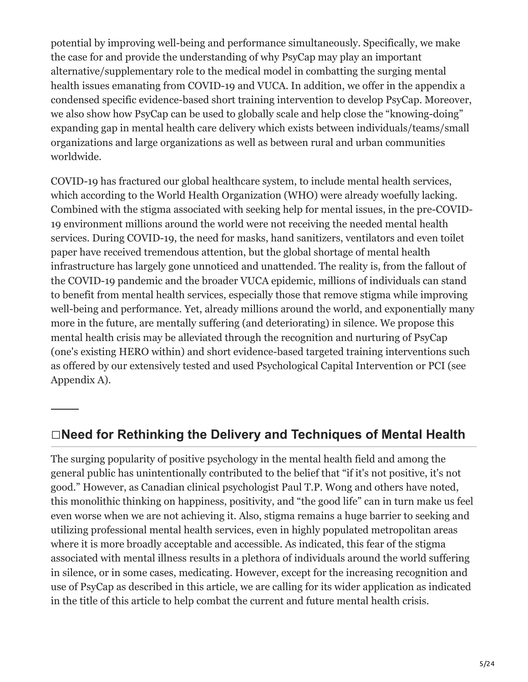potential by improving well-being and performance simultaneously. Specifically, we make the case for and provide the understanding of why PsyCap may play an important alternative/supplementary role to the medical model in combatting the surging mental health issues emanating from COVID-19 and VUCA. In addition, we offer in the appendix a condensed specific evidence-based short training intervention to develop PsyCap. Moreover, we also show how PsyCap can be used to globally scale and help close the "knowing-doing" expanding gap in mental health care delivery which exists between individuals/teams/small organizations and large organizations as well as between rural and urban communities worldwide.

COVID-19 has fractured our global healthcare system, to include mental health services, which according to the World Health Organization (WHO) were already woefully lacking. Combined with the stigma associated with seeking help for mental issues, in the pre-COVID-19 environment millions around the world were not receiving the needed mental health services. During COVID-19, the need for masks, hand sanitizers, ventilators and even toilet paper have received tremendous attention, but the global shortage of mental health infrastructure has largely gone unnoticed and unattended. The reality is, from the fallout of the COVID-19 pandemic and the broader VUCA epidemic, millions of individuals can stand to benefit from mental health services, especially those that remove stigma while improving well-being and performance. Yet, already millions around the world, and exponentially many more in the future, are mentally suffering (and deteriorating) in silence. We propose this mental health crisis may be alleviated through the recognition and nurturing of PsyCap (one's existing HERO within) and short evidence-based targeted training interventions such as offered by our extensively tested and used Psychological Capital Intervention or PCI (see Appendix A).

#### **Need for Rethinking the Delivery and Techniques of Mental Health**

The surging popularity of positive psychology in the mental health field and among the general public has unintentionally contributed to the belief that "if it's not positive, it's not good." However, as Canadian clinical psychologist Paul T.P. Wong and others have noted, this monolithic thinking on happiness, positivity, and "the good life" can in turn make us feel even worse when we are not achieving it. Also, stigma remains a huge barrier to seeking and utilizing professional mental health services, even in highly populated metropolitan areas where it is more broadly acceptable and accessible. As indicated, this fear of the stigma associated with mental illness results in a plethora of individuals around the world suffering in silence, or in some cases, medicating. However, except for the increasing recognition and use of PsyCap as described in this article, we are calling for its wider application as indicated in the title of this article to help combat the current and future mental health crisis.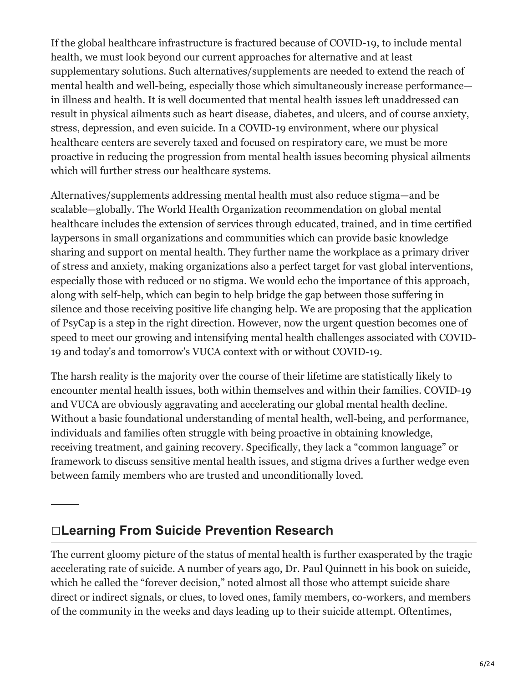If the global healthcare infrastructure is fractured because of COVID-19, to include mental health, we must look beyond our current approaches for alternative and at least supplementary solutions. Such alternatives/supplements are needed to extend the reach of mental health and well-being, especially those which simultaneously increase performance in illness and health. It is well documented that mental health issues left unaddressed can result in physical ailments such as heart disease, diabetes, and ulcers, and of course anxiety, stress, depression, and even suicide. In a COVID-19 environment, where our physical healthcare centers are severely taxed and focused on respiratory care, we must be more proactive in reducing the progression from mental health issues becoming physical ailments which will further stress our healthcare systems.

Alternatives/supplements addressing mental health must also reduce stigma—and be scalable—globally. The World Health Organization recommendation on global mental healthcare includes the extension of services through educated, trained, and in time certified laypersons in small organizations and communities which can provide basic knowledge sharing and support on mental health. They further name the workplace as a primary driver of stress and anxiety, making organizations also a perfect target for vast global interventions, especially those with reduced or no stigma. We would echo the importance of this approach, along with self-help, which can begin to help bridge the gap between those suffering in silence and those receiving positive life changing help. We are proposing that the application of PsyCap is a step in the right direction. However, now the urgent question becomes one of speed to meet our growing and intensifying mental health challenges associated with COVID-19 and today's and tomorrow's VUCA context with or without COVID-19.

The harsh reality is the majority over the course of their lifetime are statistically likely to encounter mental health issues, both within themselves and within their families. COVID-19 and VUCA are obviously aggravating and accelerating our global mental health decline. Without a basic foundational understanding of mental health, well-being, and performance, individuals and families often struggle with being proactive in obtaining knowledge, receiving treatment, and gaining recovery. Specifically, they lack a "common language" or framework to discuss sensitive mental health issues, and stigma drives a further wedge even between family members who are trusted and unconditionally loved.

#### **Learning From Suicide Prevention Research**

The current gloomy picture of the status of mental health is further exasperated by the tragic accelerating rate of suicide. A number of years ago, Dr. Paul Quinnett in his book on suicide, which he called the "forever decision," noted almost all those who attempt suicide share direct or indirect signals, or clues, to loved ones, family members, co-workers, and members of the community in the weeks and days leading up to their suicide attempt. Oftentimes,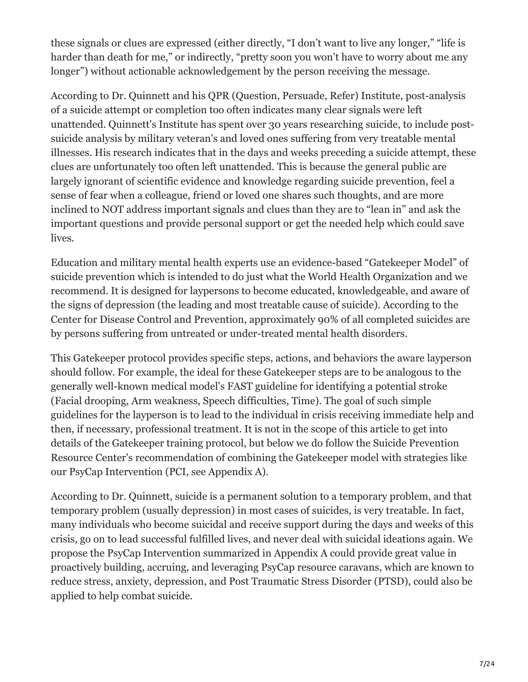these signals or clues are expressed (either directly, "I don't want to live any longer," "life is harder than death for me," or indirectly, "pretty soon you won't have to worry about me any longer") without actionable acknowledgement by the person receiving the message.

According to Dr. Quinnett and his QPR (Question, Persuade, Refer) Institute, post-analysis of a suicide attempt or completion too often indicates many clear signals were left unattended. Quinnett's Institute has spent over 30 years researching suicide, to include postsuicide analysis by military veteran's and loved ones suffering from very treatable mental illnesses. His research indicates that in the days and weeks preceding a suicide attempt, these clues are unfortunately too often left unattended. This is because the general public are largely ignorant of scientific evidence and knowledge regarding suicide prevention, feel a sense of fear when a colleague, friend or loved one shares such thoughts, and are more inclined to NOT address important signals and clues than they are to "lean in" and ask the important questions and provide personal support or get the needed help which could save lives.

Education and military mental health experts use an evidence-based "Gatekeeper Model" of suicide prevention which is intended to do just what the World Health Organization and we recommend. It is designed for laypersons to become educated, knowledgeable, and aware of the signs of depression (the leading and most treatable cause of suicide). According to the Center for Disease Control and Prevention, approximately 90% of all completed suicides are by persons suffering from untreated or under-treated mental health disorders.

This Gatekeeper protocol provides specific steps, actions, and behaviors the aware layperson should follow. For example, the ideal for these Gatekeeper steps are to be analogous to the generally well-known medical model's FAST guideline for identifying a potential stroke (Facial drooping, Arm weakness, Speech difficulties, Time). The goal of such simple guidelines for the layperson is to lead to the individual in crisis receiving immediate help and then, if necessary, professional treatment. It is not in the scope of this article to get into details of the Gatekeeper training protocol, but below we do follow the Suicide Prevention Resource Center's recommendation of combining the Gatekeeper model with strategies like our PsyCap Intervention (PCI, see Appendix A).

According to Dr. Quinnett, suicide is a permanent solution to a temporary problem, and that temporary problem (usually depression) in most cases of suicides, is very treatable. In fact, many individuals who become suicidal and receive support during the days and weeks of this crisis, go on to lead successful fulfilled lives, and never deal with suicidal ideations again. We propose the PsyCap Intervention summarized in Appendix A could provide great value in proactively building, accruing, and leveraging PsyCap resource caravans, which are known to reduce stress, anxiety, depression, and Post Traumatic Stress Disorder (PTSD), could also be applied to help combat suicide.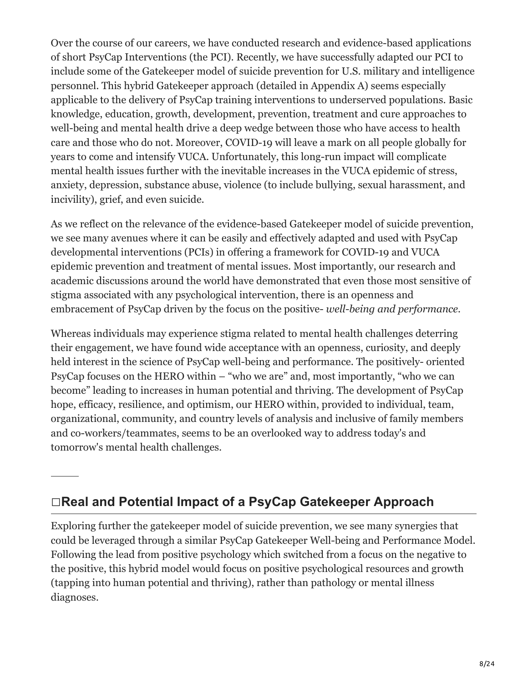Over the course of our careers, we have conducted research and evidence-based applications of short PsyCap Interventions (the PCI). Recently, we have successfully adapted our PCI to include some of the Gatekeeper model of suicide prevention for U.S. military and intelligence personnel. This hybrid Gatekeeper approach (detailed in Appendix A) seems especially applicable to the delivery of PsyCap training interventions to underserved populations. Basic knowledge, education, growth, development, prevention, treatment and cure approaches to well-being and mental health drive a deep wedge between those who have access to health care and those who do not. Moreover, COVID-19 will leave a mark on all people globally for years to come and intensify VUCA. Unfortunately, this long-run impact will complicate mental health issues further with the inevitable increases in the VUCA epidemic of stress, anxiety, depression, substance abuse, violence (to include bullying, sexual harassment, and incivility), grief, and even suicide.

As we reflect on the relevance of the evidence-based Gatekeeper model of suicide prevention, we see many avenues where it can be easily and effectively adapted and used with PsyCap developmental interventions (PCIs) in offering a framework for COVID-19 and VUCA epidemic prevention and treatment of mental issues. Most importantly, our research and academic discussions around the world have demonstrated that even those most sensitive of stigma associated with any psychological intervention, there is an openness and embracement of PsyCap driven by the focus on the positive- *well-being and performance.*

Whereas individuals may experience stigma related to mental health challenges deterring their engagement, we have found wide acceptance with an openness, curiosity, and deeply held interest in the science of PsyCap well-being and performance. The positively- oriented PsyCap focuses on the HERO within – "who we are" and, most importantly, "who we can become" leading to increases in human potential and thriving. The development of PsyCap hope, efficacy, resilience, and optimism, our HERO within, provided to individual, team, organizational, community, and country levels of analysis and inclusive of family members and co-workers/teammates, seems to be an overlooked way to address today's and tomorrow's mental health challenges.

## **Real and Potential Impact of a PsyCap Gatekeeper Approach**

Exploring further the gatekeeper model of suicide prevention, we see many synergies that could be leveraged through a similar PsyCap Gatekeeper Well-being and Performance Model. Following the lead from positive psychology which switched from a focus on the negative to the positive, this hybrid model would focus on positive psychological resources and growth (tapping into human potential and thriving), rather than pathology or mental illness diagnoses.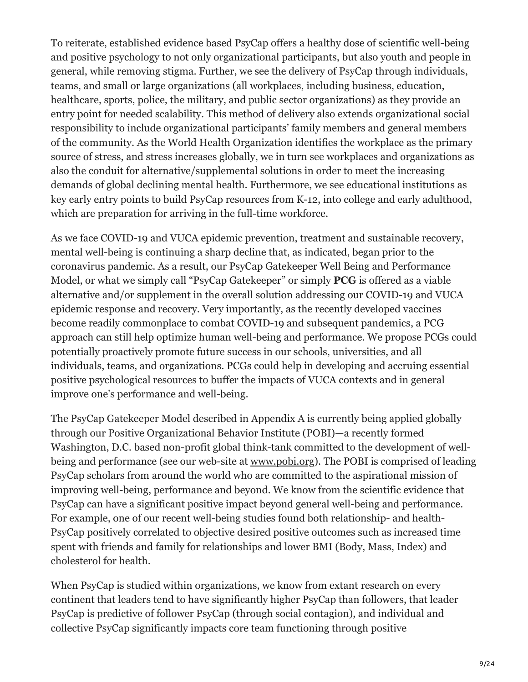To reiterate, established evidence based PsyCap offers a healthy dose of scientific well-being and positive psychology to not only organizational participants, but also youth and people in general, while removing stigma. Further, we see the delivery of PsyCap through individuals, teams, and small or large organizations (all workplaces, including business, education, healthcare, sports, police, the military, and public sector organizations) as they provide an entry point for needed scalability. This method of delivery also extends organizational social responsibility to include organizational participants' family members and general members of the community. As the World Health Organization identifies the workplace as the primary source of stress, and stress increases globally, we in turn see workplaces and organizations as also the conduit for alternative/supplemental solutions in order to meet the increasing demands of global declining mental health. Furthermore, we see educational institutions as key early entry points to build PsyCap resources from K-12, into college and early adulthood, which are preparation for arriving in the full-time workforce.

As we face COVID-19 and VUCA epidemic prevention, treatment and sustainable recovery, mental well-being is continuing a sharp decline that, as indicated, began prior to the coronavirus pandemic. As a result, our PsyCap Gatekeeper Well Being and Performance Model, or what we simply call "PsyCap Gatekeeper" or simply **PCG** is offered as a viable alternative and/or supplement in the overall solution addressing our COVID-19 and VUCA epidemic response and recovery. Very importantly, as the recently developed vaccines become readily commonplace to combat COVID-19 and subsequent pandemics, a PCG approach can still help optimize human well-being and performance. We propose PCGs could potentially proactively promote future success in our schools, universities, and all individuals, teams, and organizations. PCGs could help in developing and accruing essential positive psychological resources to buffer the impacts of VUCA contexts and in general improve one's performance and well-being.

The PsyCap Gatekeeper Model described in Appendix A is currently being applied globally through our Positive Organizational Behavior Institute (POBI)—a recently formed Washington, D.C. based non-profit global think-tank committed to the development of wellbeing and performance (see our web-site at [www.pobi.org](http://www.pobi.org/)). The POBI is comprised of leading PsyCap scholars from around the world who are committed to the aspirational mission of improving well-being, performance and beyond. We know from the scientific evidence that PsyCap can have a significant positive impact beyond general well-being and performance. For example, one of our recent well-being studies found both relationship- and health-PsyCap positively correlated to objective desired positive outcomes such as increased time spent with friends and family for relationships and lower BMI (Body, Mass, Index) and cholesterol for health.

When PsyCap is studied within organizations, we know from extant research on every continent that leaders tend to have significantly higher PsyCap than followers, that leader PsyCap is predictive of follower PsyCap (through social contagion), and individual and collective PsyCap significantly impacts core team functioning through positive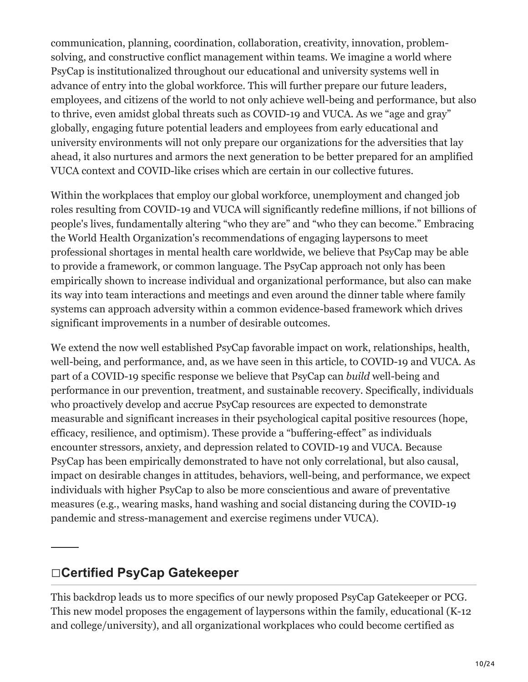communication, planning, coordination, collaboration, creativity, innovation, problemsolving, and constructive conflict management within teams. We imagine a world where PsyCap is institutionalized throughout our educational and university systems well in advance of entry into the global workforce. This will further prepare our future leaders, employees, and citizens of the world to not only achieve well-being and performance, but also to thrive, even amidst global threats such as COVID-19 and VUCA. As we "age and gray" globally, engaging future potential leaders and employees from early educational and university environments will not only prepare our organizations for the adversities that lay ahead, it also nurtures and armors the next generation to be better prepared for an amplified VUCA context and COVID-like crises which are certain in our collective futures.

Within the workplaces that employ our global workforce, unemployment and changed job roles resulting from COVID-19 and VUCA will significantly redefine millions, if not billions of people's lives, fundamentally altering "who they are" and "who they can become." Embracing the World Health Organization's recommendations of engaging laypersons to meet professional shortages in mental health care worldwide, we believe that PsyCap may be able to provide a framework, or common language. The PsyCap approach not only has been empirically shown to increase individual and organizational performance, but also can make its way into team interactions and meetings and even around the dinner table where family systems can approach adversity within a common evidence-based framework which drives significant improvements in a number of desirable outcomes.

We extend the now well established PsyCap favorable impact on work, relationships, health, well-being, and performance, and, as we have seen in this article, to COVID-19 and VUCA. As part of a COVID-19 specific response we believe that PsyCap can *build* well-being and performance in our prevention, treatment, and sustainable recovery. Specifically, individuals who proactively develop and accrue PsyCap resources are expected to demonstrate measurable and significant increases in their psychological capital positive resources (hope, efficacy, resilience, and optimism). These provide a "buffering-effect" as individuals encounter stressors, anxiety, and depression related to COVID-19 and VUCA. Because PsyCap has been empirically demonstrated to have not only correlational, but also causal, impact on desirable changes in attitudes, behaviors, well-being, and performance, we expect individuals with higher PsyCap to also be more conscientious and aware of preventative measures (e.g., wearing masks, hand washing and social distancing during the COVID-19 pandemic and stress-management and exercise regimens under VUCA).

## **Certified PsyCap Gatekeeper**

This backdrop leads us to more specifics of our newly proposed PsyCap Gatekeeper or PCG. This new model proposes the engagement of laypersons within the family, educational (K-12 and college/university), and all organizational workplaces who could become certified as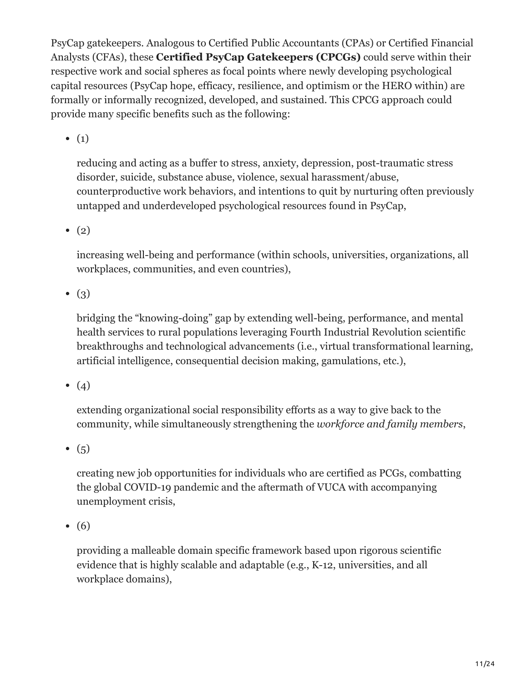PsyCap gatekeepers. Analogous to Certified Public Accountants (CPAs) or Certified Financial Analysts (CFAs), these **Certified PsyCap Gatekeepers (CPCGs)** could serve within their respective work and social spheres as focal points where newly developing psychological capital resources (PsyCap hope, efficacy, resilience, and optimism or the HERO within) are formally or informally recognized, developed, and sustained. This CPCG approach could provide many specific benefits such as the following:

 $\bullet$  (1)

reducing and acting as a buffer to stress, anxiety, depression, post-traumatic stress disorder, suicide, substance abuse, violence, sexual harassment/abuse, counterproductive work behaviors, and intentions to quit by nurturing often previously untapped and underdeveloped psychological resources found in PsyCap,

 $\bullet$  (2)

increasing well-being and performance (within schools, universities, organizations, all workplaces, communities, and even countries),

 $\bullet$  (3)

bridging the "knowing-doing" gap by extending well-being, performance, and mental health services to rural populations leveraging Fourth Industrial Revolution scientific breakthroughs and technological advancements (i.e., virtual transformational learning, artificial intelligence, consequential decision making, gamulations, etc.),

•  $(4)$ 

extending organizational social responsibility efforts as a way to give back to the community, while simultaneously strengthening the *workforce and family members*,

 $\bullet$  (5)

creating new job opportunities for individuals who are certified as PCGs, combatting the global COVID-19 pandemic and the aftermath of VUCA with accompanying unemployment crisis,

 $\bullet$  (6)

providing a malleable domain specific framework based upon rigorous scientific evidence that is highly scalable and adaptable (e.g., K-12, universities, and all workplace domains),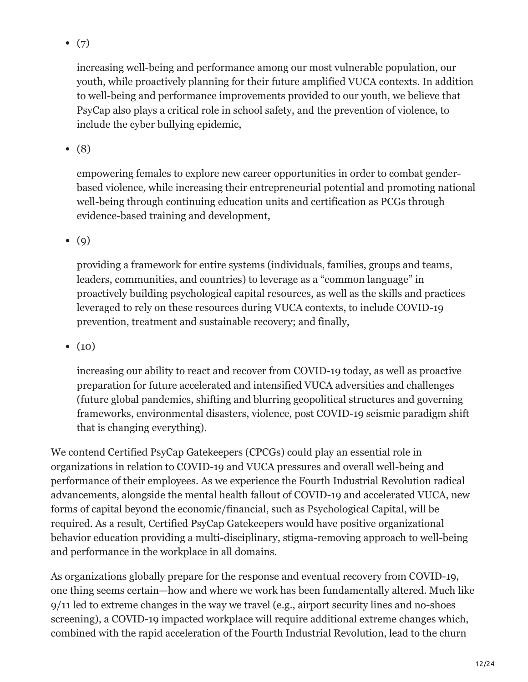$\bullet$  (7)

increasing well-being and performance among our most vulnerable population, our youth, while proactively planning for their future amplified VUCA contexts. In addition to well-being and performance improvements provided to our youth, we believe that PsyCap also plays a critical role in school safety, and the prevention of violence, to include the cyber bullying epidemic,

 $\bullet$  (8)

empowering females to explore new career opportunities in order to combat genderbased violence, while increasing their entrepreneurial potential and promoting national well-being through continuing education units and certification as PCGs through evidence-based training and development,

 $\bullet$  (9)

providing a framework for entire systems (individuals, families, groups and teams, leaders, communities, and countries) to leverage as a "common language" in proactively building psychological capital resources, as well as the skills and practices leveraged to rely on these resources during VUCA contexts, to include COVID-19 prevention, treatment and sustainable recovery; and finally,

 $\bullet$  (10)

increasing our ability to react and recover from COVID-19 today, as well as proactive preparation for future accelerated and intensified VUCA adversities and challenges (future global pandemics, shifting and blurring geopolitical structures and governing frameworks, environmental disasters, violence, post COVID-19 seismic paradigm shift that is changing everything).

We contend Certified PsyCap Gatekeepers (CPCGs) could play an essential role in organizations in relation to COVID-19 and VUCA pressures and overall well-being and performance of their employees. As we experience the Fourth Industrial Revolution radical advancements, alongside the mental health fallout of COVID-19 and accelerated VUCA, new forms of capital beyond the economic/financial, such as Psychological Capital, will be required. As a result, Certified PsyCap Gatekeepers would have positive organizational behavior education providing a multi-disciplinary, stigma-removing approach to well-being and performance in the workplace in all domains.

As organizations globally prepare for the response and eventual recovery from COVID-19, one thing seems certain—how and where we work has been fundamentally altered. Much like 9/11 led to extreme changes in the way we travel (e.g., airport security lines and no-shoes screening), a COVID-19 impacted workplace will require additional extreme changes which, combined with the rapid acceleration of the Fourth Industrial Revolution, lead to the churn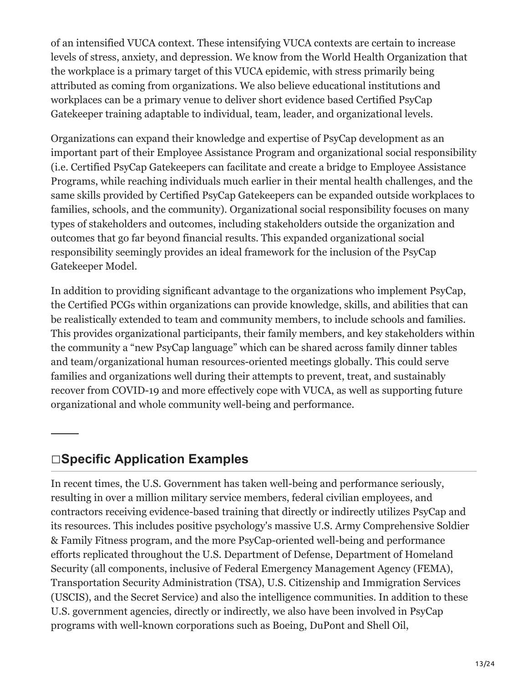of an intensified VUCA context. These intensifying VUCA contexts are certain to increase levels of stress, anxiety, and depression. We know from the World Health Organization that the workplace is a primary target of this VUCA epidemic, with stress primarily being attributed as coming from organizations. We also believe educational institutions and workplaces can be a primary venue to deliver short evidence based Certified PsyCap Gatekeeper training adaptable to individual, team, leader, and organizational levels.

Organizations can expand their knowledge and expertise of PsyCap development as an important part of their Employee Assistance Program and organizational social responsibility (i.e. Certified PsyCap Gatekeepers can facilitate and create a bridge to Employee Assistance Programs, while reaching individuals much earlier in their mental health challenges, and the same skills provided by Certified PsyCap Gatekeepers can be expanded outside workplaces to families, schools, and the community). Organizational social responsibility focuses on many types of stakeholders and outcomes, including stakeholders outside the organization and outcomes that go far beyond financial results. This expanded organizational social responsibility seemingly provides an ideal framework for the inclusion of the PsyCap Gatekeeper Model.

In addition to providing significant advantage to the organizations who implement PsyCap, the Certified PCGs within organizations can provide knowledge, skills, and abilities that can be realistically extended to team and community members, to include schools and families. This provides organizational participants, their family members, and key stakeholders within the community a "new PsyCap language" which can be shared across family dinner tables and team/organizational human resources-oriented meetings globally. This could serve families and organizations well during their attempts to prevent, treat, and sustainably recover from COVID-19 and more effectively cope with VUCA, as well as supporting future organizational and whole community well-being and performance.

## **Specific Application Examples**

In recent times, the U.S. Government has taken well-being and performance seriously, resulting in over a million military service members, federal civilian employees, and contractors receiving evidence-based training that directly or indirectly utilizes PsyCap and its resources. This includes positive psychology's massive U.S. Army Comprehensive Soldier & Family Fitness program, and the more PsyCap-oriented well-being and performance efforts replicated throughout the U.S. Department of Defense, Department of Homeland Security (all components, inclusive of Federal Emergency Management Agency (FEMA), Transportation Security Administration (TSA), U.S. Citizenship and Immigration Services (USCIS), and the Secret Service) and also the intelligence communities. In addition to these U.S. government agencies, directly or indirectly, we also have been involved in PsyCap programs with well-known corporations such as Boeing, DuPont and Shell Oil,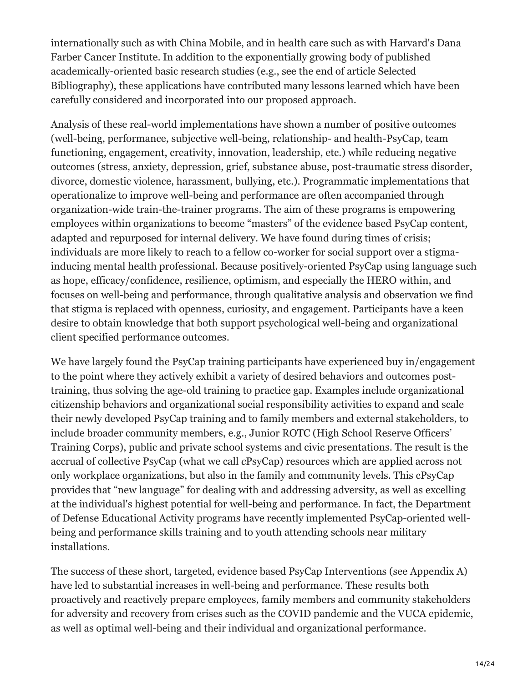internationally such as with China Mobile, and in health care such as with Harvard's Dana Farber Cancer Institute. In addition to the exponentially growing body of published academically-oriented basic research studies (e.g., see the end of article Selected Bibliography), these applications have contributed many lessons learned which have been carefully considered and incorporated into our proposed approach.

Analysis of these real-world implementations have shown a number of positive outcomes (well-being, performance, subjective well-being, relationship- and health-PsyCap, team functioning, engagement, creativity, innovation, leadership, etc.) while reducing negative outcomes (stress, anxiety, depression, grief, substance abuse, post-traumatic stress disorder, divorce, domestic violence, harassment, bullying, etc.). Programmatic implementations that operationalize to improve well-being and performance are often accompanied through organization-wide train-the-trainer programs. The aim of these programs is empowering employees within organizations to become "masters" of the evidence based PsyCap content, adapted and repurposed for internal delivery. We have found during times of crisis; individuals are more likely to reach to a fellow co-worker for social support over a stigmainducing mental health professional. Because positively-oriented PsyCap using language such as hope, efficacy/confidence, resilience, optimism, and especially the HERO within, and focuses on well-being and performance, through qualitative analysis and observation we find that stigma is replaced with openness, curiosity, and engagement. Participants have a keen desire to obtain knowledge that both support psychological well-being and organizational client specified performance outcomes.

We have largely found the PsyCap training participants have experienced buy in/engagement to the point where they actively exhibit a variety of desired behaviors and outcomes posttraining, thus solving the age-old training to practice gap. Examples include organizational citizenship behaviors and organizational social responsibility activities to expand and scale their newly developed PsyCap training and to family members and external stakeholders, to include broader community members, e.g., Junior ROTC (High School Reserve Officers' Training Corps), public and private school systems and civic presentations. The result is the accrual of collective PsyCap (what we call *c*PsyCap) resources which are applied across not only workplace organizations, but also in the family and community levels. This cPsyCap provides that "new language" for dealing with and addressing adversity, as well as excelling at the individual's highest potential for well-being and performance. In fact, the Department of Defense Educational Activity programs have recently implemented PsyCap-oriented wellbeing and performance skills training and to youth attending schools near military installations.

The success of these short, targeted, evidence based PsyCap Interventions (see Appendix A) have led to substantial increases in well-being and performance. These results both proactively and reactively prepare employees, family members and community stakeholders for adversity and recovery from crises such as the COVID pandemic and the VUCA epidemic, as well as optimal well-being and their individual and organizational performance.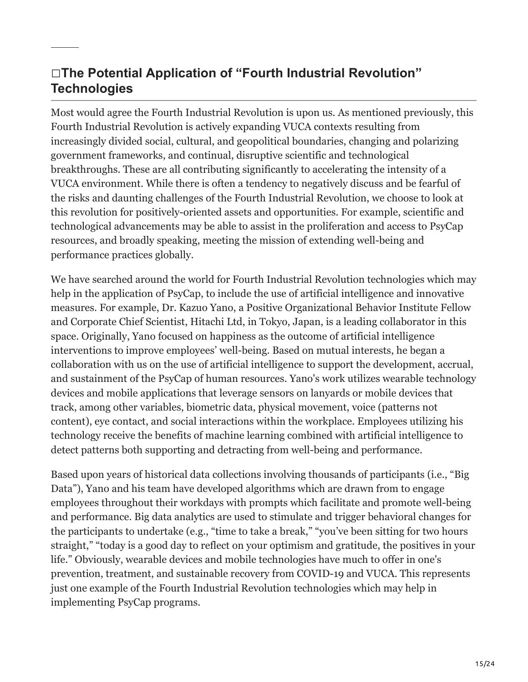## **The Potential Application of "Fourth Industrial Revolution" Technologies**

Most would agree the Fourth Industrial Revolution is upon us. As mentioned previously, this Fourth Industrial Revolution is actively expanding VUCA contexts resulting from increasingly divided social, cultural, and geopolitical boundaries, changing and polarizing government frameworks, and continual, disruptive scientific and technological breakthroughs. These are all contributing significantly to accelerating the intensity of a VUCA environment. While there is often a tendency to negatively discuss and be fearful of the risks and daunting challenges of the Fourth Industrial Revolution, we choose to look at this revolution for positively-oriented assets and opportunities. For example, scientific and technological advancements may be able to assist in the proliferation and access to PsyCap resources, and broadly speaking, meeting the mission of extending well-being and performance practices globally.

We have searched around the world for Fourth Industrial Revolution technologies which may help in the application of PsyCap, to include the use of artificial intelligence and innovative measures. For example, Dr. Kazuo Yano, a Positive Organizational Behavior Institute Fellow and Corporate Chief Scientist, Hitachi Ltd, in Tokyo, Japan, is a leading collaborator in this space. Originally, Yano focused on happiness as the outcome of artificial intelligence interventions to improve employees' well-being. Based on mutual interests, he began a collaboration with us on the use of artificial intelligence to support the development, accrual, and sustainment of the PsyCap of human resources. Yano's work utilizes wearable technology devices and mobile applications that leverage sensors on lanyards or mobile devices that track, among other variables, biometric data, physical movement, voice (patterns not content), eye contact, and social interactions within the workplace. Employees utilizing his technology receive the benefits of machine learning combined with artificial intelligence to detect patterns both supporting and detracting from well-being and performance.

Based upon years of historical data collections involving thousands of participants (i.e., "Big Data"), Yano and his team have developed algorithms which are drawn from to engage employees throughout their workdays with prompts which facilitate and promote well-being and performance. Big data analytics are used to stimulate and trigger behavioral changes for the participants to undertake (e.g., "time to take a break," "you've been sitting for two hours straight," "today is a good day to reflect on your optimism and gratitude, the positives in your life." Obviously, wearable devices and mobile technologies have much to offer in one's prevention, treatment, and sustainable recovery from COVID-19 and VUCA. This represents just one example of the Fourth Industrial Revolution technologies which may help in implementing PsyCap programs.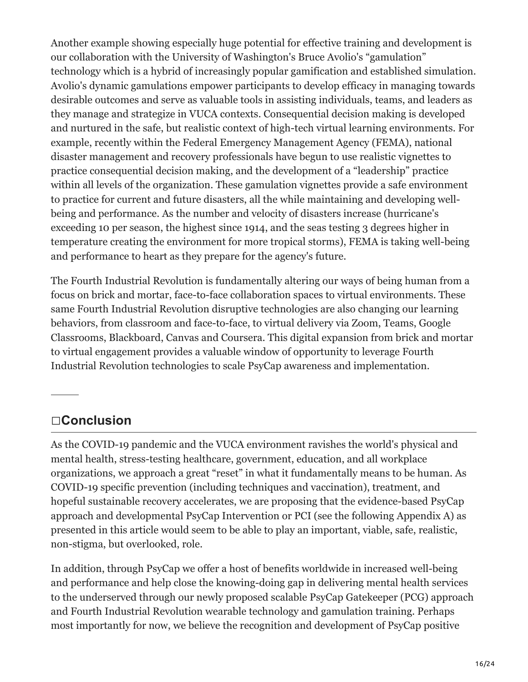Another example showing especially huge potential for effective training and development is our collaboration with the University of Washington's Bruce Avolio's "gamulation" technology which is a hybrid of increasingly popular gamification and established simulation. Avolio's dynamic gamulations empower participants to develop efficacy in managing towards desirable outcomes and serve as valuable tools in assisting individuals, teams, and leaders as they manage and strategize in VUCA contexts. Consequential decision making is developed and nurtured in the safe, but realistic context of high-tech virtual learning environments. For example, recently within the Federal Emergency Management Agency (FEMA), national disaster management and recovery professionals have begun to use realistic vignettes to practice consequential decision making, and the development of a "leadership" practice within all levels of the organization. These gamulation vignettes provide a safe environment to practice for current and future disasters, all the while maintaining and developing wellbeing and performance. As the number and velocity of disasters increase (hurricane's exceeding 10 per season, the highest since 1914, and the seas testing 3 degrees higher in temperature creating the environment for more tropical storms), FEMA is taking well-being and performance to heart as they prepare for the agency's future.

The Fourth Industrial Revolution is fundamentally altering our ways of being human from a focus on brick and mortar, face-to-face collaboration spaces to virtual environments. These same Fourth Industrial Revolution disruptive technologies are also changing our learning behaviors, from classroom and face-to-face, to virtual delivery via Zoom, Teams, Google Classrooms, Blackboard, Canvas and Coursera. This digital expansion from brick and mortar to virtual engagement provides a valuable window of opportunity to leverage Fourth Industrial Revolution technologies to scale PsyCap awareness and implementation.

#### **Conclusion**

As the COVID-19 pandemic and the VUCA environment ravishes the world's physical and mental health, stress-testing healthcare, government, education, and all workplace organizations, we approach a great "reset" in what it fundamentally means to be human. As COVID-19 specific prevention (including techniques and vaccination), treatment, and hopeful sustainable recovery accelerates, we are proposing that the evidence-based PsyCap approach and developmental PsyCap Intervention or PCI (see the following Appendix A) as presented in this article would seem to be able to play an important, viable, safe, realistic, non-stigma, but overlooked, role.

In addition, through PsyCap we offer a host of benefits worldwide in increased well-being and performance and help close the knowing-doing gap in delivering mental health services to the underserved through our newly proposed scalable PsyCap Gatekeeper (PCG) approach and Fourth Industrial Revolution wearable technology and gamulation training. Perhaps most importantly for now, we believe the recognition and development of PsyCap positive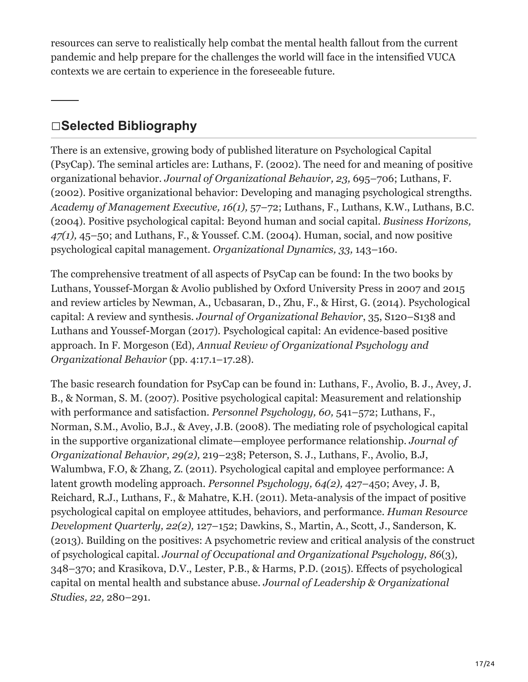resources can serve to realistically help combat the mental health fallout from the current pandemic and help prepare for the challenges the world will face in the intensified VUCA contexts we are certain to experience in the foreseeable future.

## **Selected Bibliography**

There is an extensive, growing body of published literature on Psychological Capital (PsyCap). The seminal articles are: Luthans, F. (2002). The need for and meaning of positive organizational behavior. *Journal of Organizational Behavior, 23,* 695–706; Luthans, F. (2002). Positive organizational behavior: Developing and managing psychological strengths. *Academy of Management Executive, 16(1),* 57–72; Luthans, F., Luthans, K.W., Luthans, B.C. (2004). Positive psychological capital: Beyond human and social capital. *Business Horizons, 47(1),* 45–50; and Luthans, F., & Youssef. C.M. (2004). Human, social, and now positive psychological capital management. *Organizational Dynamics, 33,* 143–160.

The comprehensive treatment of all aspects of PsyCap can be found: In the two books by Luthans, Youssef-Morgan & Avolio published by Oxford University Press in 2007 and 2015 and review articles by Newman, A., Ucbasaran, D., Zhu, F., & Hirst, G. (2014). Psychological capital: A review and synthesis. *Journal of Organizational Behavior*, 35, S120–S138 and Luthans and Youssef-Morgan (2017). Psychological capital: An evidence-based positive approach. In F. Morgeson (Ed), *Annual Review of Organizational Psychology and Organizational Behavior* (pp. 4:17.1–17.28).

The basic research foundation for PsyCap can be found in: Luthans, F., Avolio, B. J., Avey, J. B., & Norman, S. M. (2007). Positive psychological capital: Measurement and relationship with performance and satisfaction. *Personnel Psychology, 60,* 541–572; Luthans, F., Norman, S.M., Avolio, B.J., & Avey, J.B. (2008). The mediating role of psychological capital in the supportive organizational climate—employee performance relationship. *Journal of Organizational Behavior, 29(2),* 219–238; Peterson, S. J., Luthans, F., Avolio, B.J, Walumbwa, F.O, & Zhang, Z. (2011). Psychological capital and employee performance: A latent growth modeling approach. *Personnel Psychology, 64(2),* 427–450; Avey, J. B, Reichard, R.J., Luthans, F., & Mahatre, K.H. (2011). Meta-analysis of the impact of positive psychological capital on employee attitudes, behaviors, and performance. *Human Resource Development Quarterly, 22(2),* 127–152; Dawkins, S., Martin, A., Scott, J., Sanderson, K. (2013). Building on the positives: A psychometric review and critical analysis of the construct of psychological capital. *Journal of Occupational and Organizational Psychology, 86*(3)*,* 348–370; and Krasikova, D.V., Lester, P.B., & Harms, P.D. (2015). Effects of psychological capital on mental health and substance abuse. *Journal of Leadership & Organizational Studies, 22,* 280–291.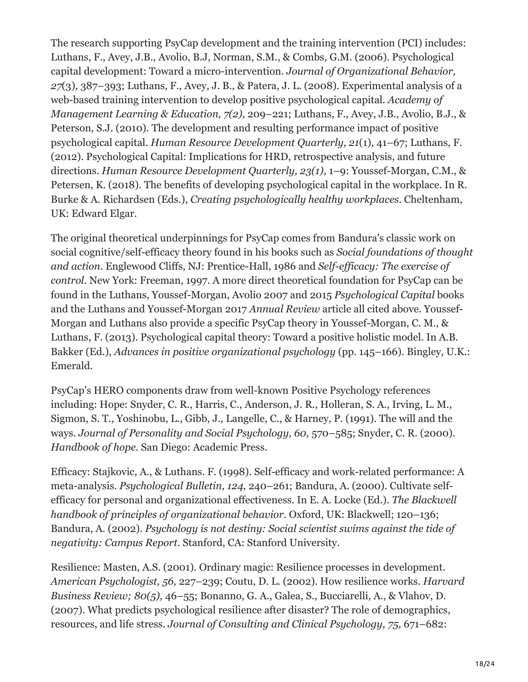The research supporting PsyCap development and the training intervention (PCI) includes: Luthans, F., Avey, J.B., Avolio, B.J, Norman, S.M., & Combs, G.M. (2006). Psychological capital development: Toward a micro-intervention. *Journal of Organizational Behavior, 27*(3)*,* 387–393; Luthans, F., Avey, J. B., & Patera, J. L. (2008). Experimental analysis of a web-based training intervention to develop positive psychological capital. *Academy of Management Learning & Education, 7(2),* 209–221; Luthans, F., Avey, J.B., Avolio, B.J., & Peterson, S.J. (2010). The development and resulting performance impact of positive psychological capital. *Human Resource Development Quarterly, 21*(1)*,* 41–67; Luthans, F. (2012). Psychological Capital: Implications for HRD, retrospective analysis, and future directions. *Human Resource Development Quarterly, 23(1),* 1–9: Youssef-Morgan, C.M., & Petersen, K. (2018). The benefits of developing psychological capital in the workplace. In R. Burke & A. Richardsen (Eds.), *Creating psychologically healthy workplaces.* Cheltenham, UK: Edward Elgar.

The original theoretical underpinnings for PsyCap comes from Bandura's classic work on social cognitive/self-efficacy theory found in his books such as *Social foundations of thought and action*. Englewood Cliffs, NJ: Prentice-Hall, 1986 and *Self-efficacy: The exercise of control*. New York: Freeman, 1997. A more direct theoretical foundation for PsyCap can be found in the Luthans, Youssef-Morgan, Avolio 2007 and 2015 *Psychological Capital* books and the Luthans and Youssef-Morgan 2017 *Annual Review* article all cited above. Youssef-Morgan and Luthans also provide a specific PsyCap theory in Youssef-Morgan, C. M., & Luthans, F. (2013). Psychological capital theory: Toward a positive holistic model. In A.B. Bakker (Ed.), *Advances in positive organizational psychology* (pp. 145–166). Bingley, U.K.: Emerald.

PsyCap's HERO components draw from well-known Positive Psychology references including: Hope: Snyder, C. R., Harris, C., Anderson, J. R., Holleran, S. A., Irving, L. M., Sigmon, S. T., Yoshinobu, L., Gibb, J., Langelle, C., & Harney, P. (1991). The will and the ways. *Journal of Personality and Social Psychology, 60,* 570–585; Snyder, C. R. (2000). *Handbook of hope.* San Diego: Academic Press.

Efficacy: Stajkovic, A., & Luthans. F. (1998). Self-efficacy and work-related performance: A meta-analysis. *Psychological Bulletin, 124,* 240–261; Bandura, A. (2000). Cultivate selfefficacy for personal and organizational effectiveness. In E. A. Locke (Ed.). *The Blackwell handbook of principles of organizational behavior.* Oxford, UK: Blackwell; 120–136; Bandura, A. (2002). *Psychology is not destiny: Social scientist swims against the tide of negativity: Campus Report*. Stanford, CA: Stanford University.

Resilience: Masten, A.S. (2001). Ordinary magic: Resilience processes in development. *American Psychologist, 56,* 227–239; Coutu, D. L. (2002). How resilience works. *Harvard Business Review; 80(5),* 46–55; Bonanno, G. A., Galea, S., Bucciarelli, A., & Vlahov, D. (2007). What predicts psychological resilience after disaster? The role of demographics, resources, and life stress. *Journal of Consulting and Clinical Psychology, 75,* 671–682: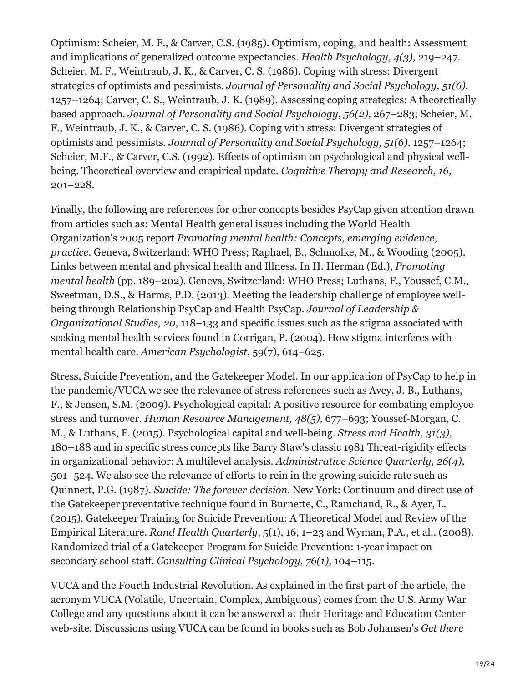Optimism: Scheier, M. F., & Carver, C.S. (1985). Optimism, coping, and health: Assessment and implications of generalized outcome expectancies. *Health Psychology, 4(3),* 219–247. Scheier, M. F., Weintraub, J. K., & Carver, C. S. (1986). Coping with stress: Divergent strategies of optimists and pessimists. *Journal of Personality and Social Psychology, 51(6),* 1257–1264; Carver, C. S., Weintraub, J. K. (1989). Assessing coping strategies: A theoretically based approach. *Journal of Personality and Social Psychology*, *56(2),* 267–283; Scheier, M. F., Weintraub, J. K., & Carver, C. S. (1986). Coping with stress: Divergent strategies of optimists and pessimists. *Journal of Personality and Social Psychology, 51(6),* 1257–1264; Scheier, M.F., & Carver, C.S. (1992). Effects of optimism on psychological and physical wellbeing. Theoretical overview and empirical update. *Cognitive Therapy and Research, 16,* 201–228.

Finally, the following are references for other concepts besides PsyCap given attention drawn from articles such as: Mental Health general issues including the World Health Organization's 2005 report *Promoting mental health: Concepts, emerging evidence, practice*. Geneva, Switzerland: WHO Press; Raphael, B., Schmolke, M., & Wooding (2005). Links between mental and physical health and Illness. In H. Herman (Ed.), *Promoting mental health* (pp. 189–202). Geneva, Switzerland: WHO Press; Luthans, F., Youssef, C.M., Sweetman, D.S., & Harms, P.D. (2013). Meeting the leadership challenge of employee wellbeing through Relationship PsyCap and Health PsyCap. *Journal of Leadership & Organizational Studies, 20,* 118–133 and specific issues such as the stigma associated with seeking mental health services found in Corrigan, P. (2004). How stigma interferes with mental health care. *American Psychologist*, 59(7), 614–625.

Stress, Suicide Prevention, and the Gatekeeper Model. In our application of PsyCap to help in the pandemic/VUCA we see the relevance of stress references such as Avey, J. B., Luthans, F., & Jensen, S.M. (2009). Psychological capital: A positive resource for combating employee stress and turnover. *Human Resource Management, 48(5),* 677–693; Youssef-Morgan, C. M., & Luthans, F. (2015). Psychological capital and well-being. *Stress and Health, 31(3),* 180–188 and in specific stress concepts like Barry Staw's classic 1981 Threat-rigidity effects in organizational behavior: A multilevel analysis. *Administrative Science Quarterly, 26(4),* 501–524. We also see the relevance of efforts to rein in the growing suicide rate such as Quinnett, P.G. (1987). *Suicide: The forever decision*. New York: Continuum and direct use of the Gatekeeper preventative technique found in Burnette, C., Ramchand, R., & Ayer, L. (2015). Gatekeeper Training for Suicide Prevention: A Theoretical Model and Review of the Empirical Literature. *Rand Health Quarterly*, 5(1), 16, 1–23 and Wyman, P.A., et al., (2008). Randomized trial of a Gatekeeper Program for Suicide Prevention: 1-year impact on secondary school staff. *Consulting Clinical Psychology, 76(1),* 104–115.

VUCA and the Fourth Industrial Revolution. As explained in the first part of the article, the acronym VUCA (Volatile, Uncertain, Complex, Ambiguous) comes from the U.S. Army War College and any questions about it can be answered at their Heritage and Education Center web-site. Discussions using VUCA can be found in books such as Bob Johansen's *Get there*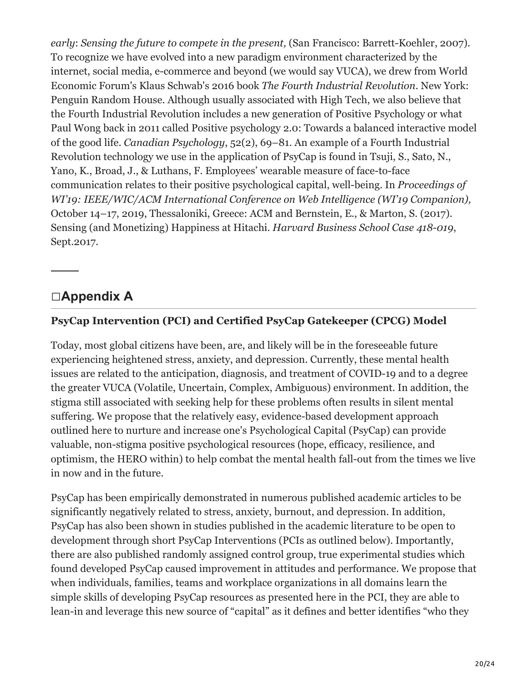*early*: *Sensing the future to compete in the present,* (San Francisco: Barrett-Koehler, 2007). To recognize we have evolved into a new paradigm environment characterized by the internet, social media, e-commerce and beyond (we would say VUCA), we drew from World Economic Forum's Klaus Schwab's 2016 book *The Fourth Industrial Revolution*. New York: Penguin Random House. Although usually associated with High Tech, we also believe that the Fourth Industrial Revolution includes a new generation of Positive Psychology or what Paul Wong back in 2011 called Positive psychology 2.0: Towards a balanced interactive model of the good life. *Canadian Psychology*, 52(2), 69–81. An example of a Fourth Industrial Revolution technology we use in the application of PsyCap is found in Tsuji, S., Sato, N., Yano, K., Broad, J., & Luthans, F. Employees' wearable measure of face-to-face communication relates to their positive psychological capital, well-being. In *Proceedings of WI'19: IEEE/WIC/ACM International Conference on Web Intelligence (WI'19 Companion),* October 14–17, 2019, Thessaloniki, Greece: ACM and Bernstein, E., & Marton, S. (2017). Sensing (and Monetizing) Happiness at Hitachi. *Harvard Business School Case 418-019*, Sept.2017.

#### **Appendix A**

#### **PsyCap Intervention (PCI) and Certified PsyCap Gatekeeper (CPCG) Model**

Today, most global citizens have been, are, and likely will be in the foreseeable future experiencing heightened stress, anxiety, and depression. Currently, these mental health issues are related to the anticipation, diagnosis, and treatment of COVID-19 and to a degree the greater VUCA (Volatile, Uncertain, Complex, Ambiguous) environment. In addition, the stigma still associated with seeking help for these problems often results in silent mental suffering. We propose that the relatively easy, evidence-based development approach outlined here to nurture and increase one's Psychological Capital (PsyCap) can provide valuable, non-stigma positive psychological resources (hope, efficacy, resilience, and optimism, the HERO within) to help combat the mental health fall-out from the times we live in now and in the future.

PsyCap has been empirically demonstrated in numerous published academic articles to be significantly negatively related to stress, anxiety, burnout, and depression. In addition, PsyCap has also been shown in studies published in the academic literature to be open to development through short PsyCap Interventions (PCIs as outlined below). Importantly, there are also published randomly assigned control group, true experimental studies which found developed PsyCap caused improvement in attitudes and performance. We propose that when individuals, families, teams and workplace organizations in all domains learn the simple skills of developing PsyCap resources as presented here in the PCI, they are able to lean-in and leverage this new source of "capital" as it defines and better identifies "who they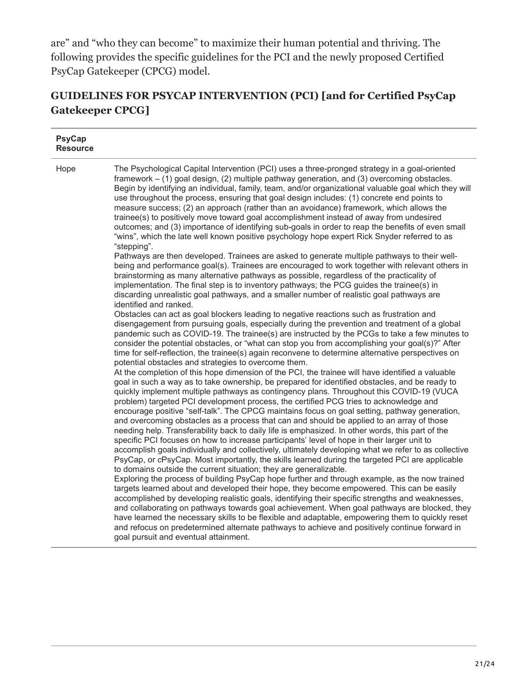are" and "who they can become" to maximize their human potential and thriving. The following provides the specific guidelines for the PCI and the newly proposed Certified PsyCap Gatekeeper (CPCG) model.

#### **GUIDELINES FOR PSYCAP INTERVENTION (PCI) [and for Certified PsyCap Gatekeeper CPCG]**

| <b>PsyCap</b><br><b>Resource</b> |                                                                                                                                                                                                                                                                                                                                                                                                                                                                                                                                                                                                                                                                                                                                                                                                                                                                                                                                                                                                                                                                          |
|----------------------------------|--------------------------------------------------------------------------------------------------------------------------------------------------------------------------------------------------------------------------------------------------------------------------------------------------------------------------------------------------------------------------------------------------------------------------------------------------------------------------------------------------------------------------------------------------------------------------------------------------------------------------------------------------------------------------------------------------------------------------------------------------------------------------------------------------------------------------------------------------------------------------------------------------------------------------------------------------------------------------------------------------------------------------------------------------------------------------|
| Hope                             | The Psychological Capital Intervention (PCI) uses a three-pronged strategy in a goal-oriented<br>framework - (1) goal design, (2) multiple pathway generation, and (3) overcoming obstacles.<br>Begin by identifying an individual, family, team, and/or organizational valuable goal which they will<br>use throughout the process, ensuring that goal design includes: (1) concrete end points to<br>measure success; (2) an approach (rather than an avoidance) framework, which allows the<br>trainee(s) to positively move toward goal accomplishment instead of away from undesired<br>outcomes; and (3) importance of identifying sub-goals in order to reap the benefits of even small<br>"wins", which the late well known positive psychology hope expert Rick Snyder referred to as<br>"stepping".                                                                                                                                                                                                                                                            |
|                                  | Pathways are then developed. Trainees are asked to generate multiple pathways to their well-<br>being and performance goal(s). Trainees are encouraged to work together with relevant others in<br>brainstorming as many alternative pathways as possible, regardless of the practicality of<br>implementation. The final step is to inventory pathways; the PCG guides the trainee(s) in<br>discarding unrealistic goal pathways, and a smaller number of realistic goal pathways are<br>identified and ranked.                                                                                                                                                                                                                                                                                                                                                                                                                                                                                                                                                         |
|                                  | Obstacles can act as goal blockers leading to negative reactions such as frustration and<br>disengagement from pursuing goals, especially during the prevention and treatment of a global<br>pandemic such as COVID-19. The trainee(s) are instructed by the PCGs to take a few minutes to<br>consider the potential obstacles, or "what can stop you from accomplishing your goal(s)?" After<br>time for self-reflection, the trainee(s) again reconvene to determine alternative perspectives on<br>potential obstacles and strategies to overcome them.                                                                                                                                                                                                                                                                                                                                                                                                                                                                                                               |
|                                  | At the completion of this hope dimension of the PCI, the trainee will have identified a valuable<br>goal in such a way as to take ownership, be prepared for identified obstacles, and be ready to<br>quickly implement multiple pathways as contingency plans. Throughout this COVID-19 (VUCA<br>problem) targeted PCI development process, the certified PCG tries to acknowledge and<br>encourage positive "self-talk". The CPCG maintains focus on goal setting, pathway generation,<br>and overcoming obstacles as a process that can and should be applied to an array of those<br>needing help. Transferability back to daily life is emphasized. In other words, this part of the<br>specific PCI focuses on how to increase participants' level of hope in their larger unit to<br>accomplish goals individually and collectively, ultimately developing what we refer to as collective<br>PsyCap, or cPsyCap. Most importantly, the skills learned during the targeted PCI are applicable<br>to domains outside the current situation; they are generalizable. |
|                                  | Exploring the process of building PsyCap hope further and through example, as the now trained<br>targets learned about and developed their hope, they become empowered. This can be easily<br>accomplished by developing realistic goals, identifying their specific strengths and weaknesses,<br>and collaborating on pathways towards goal achievement. When goal pathways are blocked, they<br>have learned the necessary skills to be flexible and adaptable, empowering them to quickly reset<br>and refocus on predetermined alternate pathways to achieve and positively continue forward in<br>goal pursuit and eventual attainment.                                                                                                                                                                                                                                                                                                                                                                                                                             |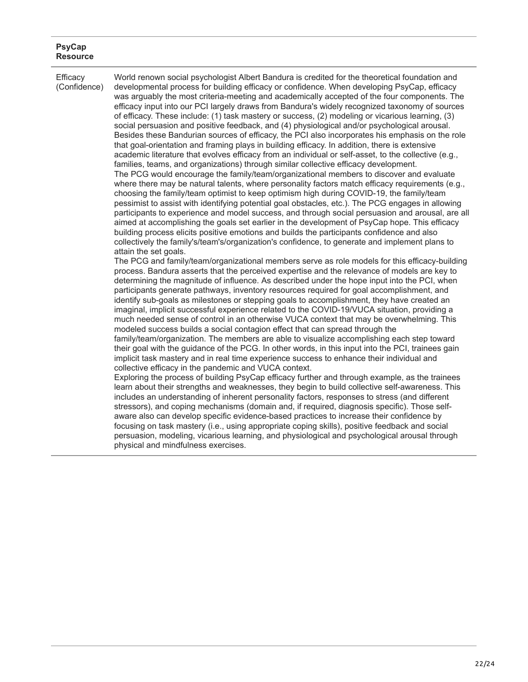#### **PsyCap Resource**

| Efficacy<br>(Confidence) | World renown social psychologist Albert Bandura is credited for the theoretical foundation and<br>developmental process for building efficacy or confidence. When developing PsyCap, efficacy<br>was arguably the most criteria-meeting and academically accepted of the four components. The<br>efficacy input into our PCI largely draws from Bandura's widely recognized taxonomy of sources<br>of efficacy. These include: (1) task mastery or success, (2) modeling or vicarious learning, (3)<br>social persuasion and positive feedback, and (4) physiological and/or psychological arousal.<br>Besides these Bandurian sources of efficacy, the PCI also incorporates his emphasis on the role<br>that goal-orientation and framing plays in building efficacy. In addition, there is extensive<br>academic literature that evolves efficacy from an individual or self-asset, to the collective (e.g.,<br>families, teams, and organizations) through similar collective efficacy development.<br>The PCG would encourage the family/team/organizational members to discover and evaluate<br>where there may be natural talents, where personality factors match efficacy requirements (e.g.,<br>choosing the family/team optimist to keep optimism high during COVID-19, the family/team<br>pessimist to assist with identifying potential goal obstacles, etc.). The PCG engages in allowing<br>participants to experience and model success, and through social persuasion and arousal, are all<br>aimed at accomplishing the goals set earlier in the development of PsyCap hope. This efficacy<br>building process elicits positive emotions and builds the participants confidence and also<br>collectively the family's/team's/organization's confidence, to generate and implement plans to<br>attain the set goals.<br>The PCG and family/team/organizational members serve as role models for this efficacy-building<br>process. Bandura asserts that the perceived expertise and the relevance of models are key to<br>determining the magnitude of influence. As described under the hope input into the PCI, when<br>participants generate pathways, inventory resources required for goal accomplishment, and<br>identify sub-goals as milestones or stepping goals to accomplishment, they have created an<br>imaginal, implicit successful experience related to the COVID-19/VUCA situation, providing a<br>much needed sense of control in an otherwise VUCA context that may be overwhelming. This<br>modeled success builds a social contagion effect that can spread through the<br>family/team/organization. The members are able to visualize accomplishing each step toward<br>their goal with the guidance of the PCG. In other words, in this input into the PCI, trainees gain<br>implicit task mastery and in real time experience success to enhance their individual and<br>collective efficacy in the pandemic and VUCA context.<br>Exploring the process of building PsyCap efficacy further and through example, as the trainees<br>learn about their strengths and weaknesses, they begin to build collective self-awareness. This<br>includes an understanding of inherent personality factors, responses to stress (and different<br>stressors), and coping mechanisms (domain and, if required, diagnosis specific). Those self-<br>aware also can develop specific evidence-based practices to increase their confidence by<br>focusing on task mastery (i.e., using appropriate coping skills), positive feedback and social |
|--------------------------|------------------------------------------------------------------------------------------------------------------------------------------------------------------------------------------------------------------------------------------------------------------------------------------------------------------------------------------------------------------------------------------------------------------------------------------------------------------------------------------------------------------------------------------------------------------------------------------------------------------------------------------------------------------------------------------------------------------------------------------------------------------------------------------------------------------------------------------------------------------------------------------------------------------------------------------------------------------------------------------------------------------------------------------------------------------------------------------------------------------------------------------------------------------------------------------------------------------------------------------------------------------------------------------------------------------------------------------------------------------------------------------------------------------------------------------------------------------------------------------------------------------------------------------------------------------------------------------------------------------------------------------------------------------------------------------------------------------------------------------------------------------------------------------------------------------------------------------------------------------------------------------------------------------------------------------------------------------------------------------------------------------------------------------------------------------------------------------------------------------------------------------------------------------------------------------------------------------------------------------------------------------------------------------------------------------------------------------------------------------------------------------------------------------------------------------------------------------------------------------------------------------------------------------------------------------------------------------------------------------------------------------------------------------------------------------------------------------------------------------------------------------------------------------------------------------------------------------------------------------------------------------------------------------------------------------------------------------------------------------------------------------------------------------------------------------------------------------------------------------------------------------------------------------------------------------------------------------------------------------------------------------------------------------------------------------------------------------------------------------------------------------------------------------------------------------------------------------------------------------------------------------------------------------------------------------------------|
|                          | persuasion, modeling, vicarious learning, and physiological and psychological arousal through<br>physical and mindfulness exercises.                                                                                                                                                                                                                                                                                                                                                                                                                                                                                                                                                                                                                                                                                                                                                                                                                                                                                                                                                                                                                                                                                                                                                                                                                                                                                                                                                                                                                                                                                                                                                                                                                                                                                                                                                                                                                                                                                                                                                                                                                                                                                                                                                                                                                                                                                                                                                                                                                                                                                                                                                                                                                                                                                                                                                                                                                                                                                                                                                                                                                                                                                                                                                                                                                                                                                                                                                                                                                                         |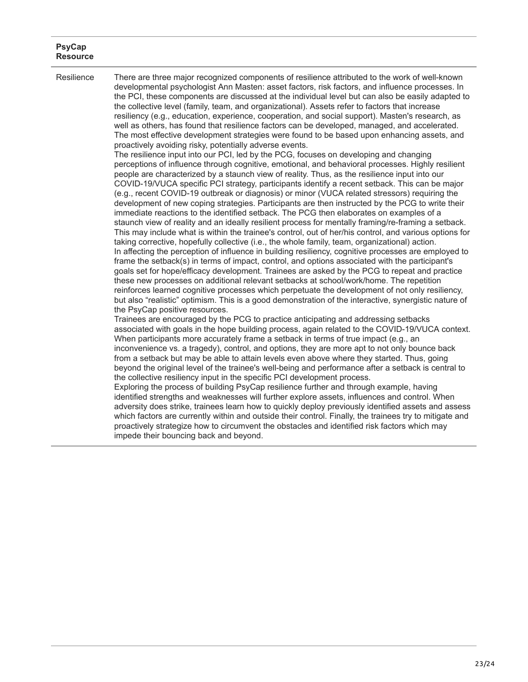#### **PsyCap Resource**

Resilience There are three major recognized components of resilience attributed to the work of well-known developmental psychologist Ann Masten: asset factors, risk factors, and influence processes. In the PCI, these components are discussed at the individual level but can also be easily adapted to the collective level (family, team, and organizational). Assets refer to factors that increase resiliency (e.g., education, experience, cooperation, and social support). Masten's research, as well as others, has found that resilience factors can be developed, managed, and accelerated. The most effective development strategies were found to be based upon enhancing assets, and proactively avoiding risky, potentially adverse events. The resilience input into our PCI, led by the PCG, focuses on developing and changing perceptions of influence through cognitive, emotional, and behavioral processes. Highly resilient people are characterized by a staunch view of reality. Thus, as the resilience input into our COVID-19/VUCA specific PCI strategy, participants identify a recent setback. This can be major (e.g., recent COVID-19 outbreak or diagnosis) or minor (VUCA related stressors) requiring the development of new coping strategies. Participants are then instructed by the PCG to write their immediate reactions to the identified setback. The PCG then elaborates on examples of a staunch view of reality and an ideally resilient process for mentally framing/re-framing a setback. This may include what is within the trainee's control, out of her/his control, and various options for taking corrective, hopefully collective (i.e., the whole family, team, organizational) action. In affecting the perception of influence in building resiliency, cognitive processes are employed to frame the setback(s) in terms of impact, control, and options associated with the participant's goals set for hope/efficacy development. Trainees are asked by the PCG to repeat and practice these new processes on additional relevant setbacks at school/work/home. The repetition reinforces learned cognitive processes which perpetuate the development of not only resiliency, but also "realistic" optimism. This is a good demonstration of the interactive, synergistic nature of the PsyCap positive resources. Trainees are encouraged by the PCG to practice anticipating and addressing setbacks associated with goals in the hope building process, again related to the COVID-19/VUCA context. When participants more accurately frame a setback in terms of true impact (e.g., an inconvenience vs. a tragedy), control, and options, they are more apt to not only bounce back from a setback but may be able to attain levels even above where they started. Thus, going beyond the original level of the trainee's well-being and performance after a setback is central to the collective resiliency input in the specific PCI development process. Exploring the process of building PsyCap resilience further and through example, having identified strengths and weaknesses will further explore assets, influences and control. When adversity does strike, trainees learn how to quickly deploy previously identified assets and assess which factors are currently within and outside their control. Finally, the trainees try to mitigate and proactively strategize how to circumvent the obstacles and identified risk factors which may impede their bouncing back and beyond.